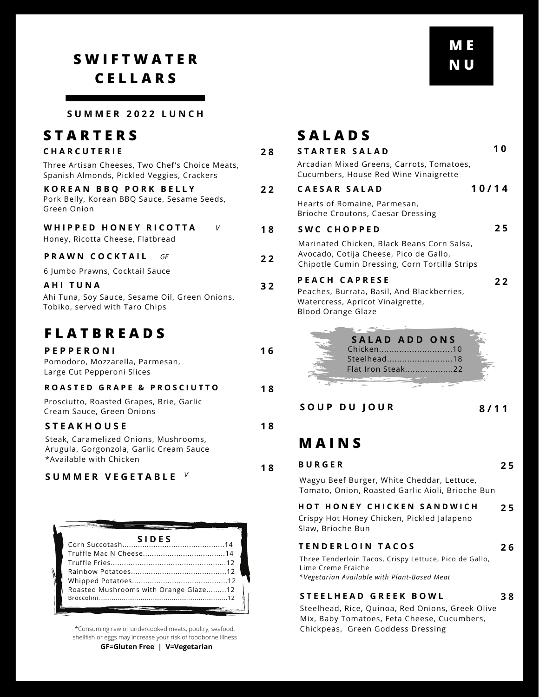## **S W I F T W A T E R C E L L A R S**

**S U M M E R 2 0 2 2 L U N C H**

| <b>STARTERS</b>                                                                               |   |
|-----------------------------------------------------------------------------------------------|---|
| <b>CHARCUTERIE</b>                                                                            | 2 |
| Three Artisan Cheeses, Two Chef's Choice Meats,<br>Spanish Almonds, Pickled Veggies, Crackers |   |
| KOREAN BBO PORK BELLY<br>Pork Belly, Korean BBQ Sauce, Sesame Seeds,<br>Green Onion           | 2 |
| WHIPPED HONEY RICOTTA<br>V<br>Honey, Ricotta Cheese, Flatbread                                |   |
| PRAWN COCKTAIL<br>GF                                                                          | 2 |
| 6 Jumbo Prawns, Cocktail Sauce                                                                |   |
| AHI TUNA<br>Ahi Tuna, Soy Sauce, Sesame Oil, Green Onions,<br>Tobiko, served with Taro Chips  | з |

### **F L A T B R E A D S**

#### **S U M M E R V E G E T A B L E** *V*

| Roasted Mushrooms with Orange Glaze12 |  |
|---------------------------------------|--|
|                                       |  |
|                                       |  |

\*Consuming raw or undercooked meats, poultry, seafood, shellfish or eggs may increase your risk of foodborne Illness **GF=Gluten Free | V=Vegetarian**

|    | <b>SALADS</b>                                                                                                                         |    |
|----|---------------------------------------------------------------------------------------------------------------------------------------|----|
| 28 | <b>STARTER SALAD</b>                                                                                                                  | 10 |
|    | Arcadian Mixed Greens, Carrots, Tomatoes,<br>Cucumbers, House Red Wine Vinaigrette                                                    |    |
| 22 | 10/14<br><b>CAESAR SALAD</b>                                                                                                          |    |
|    | Hearts of Romaine, Parmesan,<br>Brioche Croutons, Caesar Dressing                                                                     |    |
| 18 | SWC CHOPPED                                                                                                                           | 25 |
| 22 | Marinated Chicken, Black Beans Corn Salsa,<br>Avocado, Cotija Cheese, Pico de Gallo,<br>Chipotle Cumin Dressing, Corn Tortilla Strips |    |
| 32 | <b>PEACH CAPRESE</b>                                                                                                                  | 22 |
|    | Peaches, Burrata, Basil, And Blackberries,<br>Watercress, Apricot Vinaigrette,<br><b>Blood Orange Glaze</b>                           |    |
|    | SALAD ADD ONS                                                                                                                         |    |
| 16 | Chicken10<br>Steelhead18                                                                                                              |    |
|    | Flat Iron Steak22                                                                                                                     |    |
| 18 |                                                                                                                                       |    |
|    | SOUP DU JOUR<br>8/11                                                                                                                  |    |
| 18 |                                                                                                                                       |    |
|    | MAINS                                                                                                                                 |    |
| 18 | <b>BURGER</b>                                                                                                                         | 25 |
|    | Wagyu Beef Burger, White Cheddar, Lettuce,<br>Tomato, Onion, Roasted Garlic Aioli, Brioche Bun                                        |    |
|    | <b>HOT HONEY CHICKEN SANDWICH</b>                                                                                                     | 25 |
|    | Crispy Hot Honey Chicken, Pickled Jalapeno<br>Slaw, Brioche Bun                                                                       |    |
|    | <b>TENDERLOIN TACOS</b>                                                                                                               | 26 |
|    | Three Tenderloin Tacos, Crispy Lettuce, Pico de Gallo,<br>Lime Creme Fraiche<br>*Vegetarian Available with Plant-Based Meat           |    |
|    | STEELHEAD GREEK BOWL                                                                                                                  | 38 |
|    | Steelhead, Rice, Quinoa, Red Onions, Greek Olive<br>Mix, Baby Tomatoes, Feta Cheese, Cucumbers,<br>Chickpeas, Green Goddess Dressing  |    |
|    |                                                                                                                                       |    |